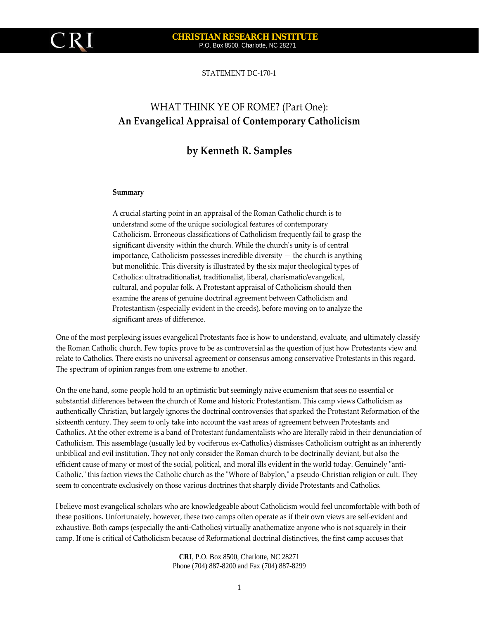

#### **CHRISTIAN RESEARCH INSTITUTE**  P.O. Box 8500, Charlotte, NC 28271

STATEMENT DC‐170‐1

# WHAT THINK YE OF ROME? (Part One): **An Evangelical Appraisal of Contemporary Catholicism**

## **by Kenneth R. Samples**

#### **Summary**

A crucial starting point in an appraisal of the Roman Catholic church is to understand some of the unique sociological features of contemporary Catholicism. Erroneous classifications of Catholicism frequently fail to grasp the significant diversity within the church. While the church's unity is of central  $im$  importance, Catholicism possesses incredible diversity  $-$  the church is anything but monolithic. This diversity is illustrated by the six major theological types of Catholics: ultratraditionalist, traditionalist, liberal, charismatic/evangelical, cultural, and popular folk. A Protestant appraisal of Catholicism should then examine the areas of genuine doctrinal agreement between Catholicism and Protestantism (especially evident in the creeds), before moving on to analyze the significant areas of difference.

One of the most perplexing issues evangelical Protestants face is how to understand, evaluate, and ultimately classify the Roman Catholic church. Few topics prove to be as controversial as the question of just how Protestants view and relate to Catholics. There exists no universal agreement or consensus among conservative Protestants in this regard. The spectrum of opinion ranges from one extreme to another.

On the one hand, some people hold to an optimistic but seemingly naive ecumenism that sees no essential or substantial differences between the church of Rome and historic Protestantism. This camp views Catholicism as authentically Christian, but largely ignores the doctrinal controversies that sparked the Protestant Reformation of the sixteenth century. They seem to only take into account the vast areas of agreement between Protestants and Catholics. At the other extreme is a band of Protestant fundamentalists who are literally rabid in their denunciation of Catholicism. This assemblage (usually led by vociferous ex‐Catholics) dismisses Catholicism outright as an inherently unbiblical and evil institution. They not only consider the Roman church to be doctrinally deviant, but also the efficient cause of many or most of the social, political, and moral ills evident in the world today. Genuinely "anti-Catholic," this faction views the Catholic church as the "Whore of Babylon," a pseudo-Christian religion or cult. They seem to concentrate exclusively on those various doctrines that sharply divide Protestants and Catholics.

I believe most evangelical scholars who are knowledgeable about Catholicism would feel uncomfortable with both of these positions. Unfortunately, however, these two camps often operate as if their own views are self‐evident and exhaustive. Both camps (especially the anti‐Catholics) virtually anathematize anyone who is not squarely in their camp. If one is critical of Catholicism because of Reformational doctrinal distinctives, the first camp accuses that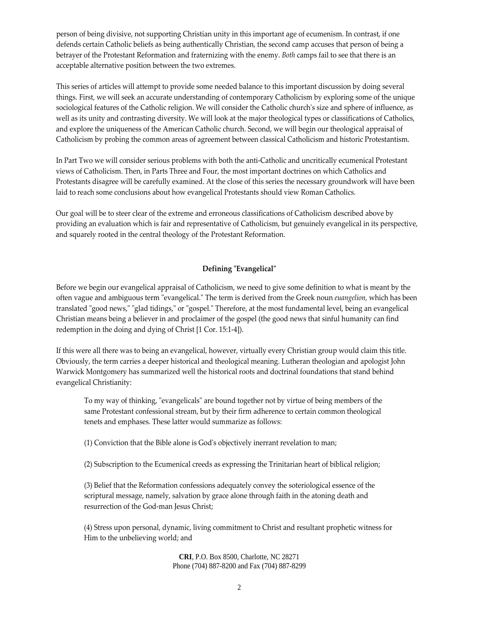person of being divisive, not supporting Christian unity in this important age of ecumenism. In contrast, if one defends certain Catholic beliefs as being authentically Christian, the second camp accuses that person of being a betrayer of the Protestant Reformation and fraternizing with the enemy. *Both* camps fail to see that there is an acceptable alternative position between the two extremes.

This series of articles will attempt to provide some needed balance to this important discussion by doing several things. First, we will seek an accurate understanding of contemporary Catholicism by exploring some of the unique sociological features of the Catholic religion. We will consider the Catholic church's size and sphere of influence, as well as its unity and contrasting diversity. We will look at the major theological types or classifications of Catholics, and explore the uniqueness of the American Catholic church. Second, we will begin our theological appraisal of Catholicism by probing the common areas of agreement between classical Catholicism and historic Protestantism.

In Part Two we will consider serious problems with both the anti-Catholic and uncritically ecumenical Protestant views of Catholicism. Then, in Parts Three and Four, the most important doctrines on which Catholics and Protestants disagree will be carefully examined. At the close of this series the necessary groundwork will have been laid to reach some conclusions about how evangelical Protestants should view Roman Catholics.

Our goal will be to steer clear of the extreme and erroneous classifications of Catholicism described above by providing an evaluation which is fair and representative of Catholicism, but genuinely evangelical in its perspective, and squarely rooted in the central theology of the Protestant Reformation.

## $Defining$ <sup> $"Evangelical"$ </sup>

Before we begin our evangelical appraisal of Catholicism, we need to give some definition to what is meant by the often vague and ambiguous term "evangelical." The term is derived from the Greek noun *euangelion*, which has been translated "good news," "glad tidings," or "gospel." Therefore, at the most fundamental level, being an evangelical Christian means being a believer in and proclaimer of the gospel (the good news that sinful humanity can find redemption in the doing and dying of Christ [1 Cor. 15:1‐4]).

If this were all there was to being an evangelical, however, virtually every Christian group would claim this title. Obviously, the term carries a deeper historical and theological meaning. Lutheran theologian and apologist John Warwick Montgomery has summarized well the historical roots and doctrinal foundations that stand behind evangelical Christianity:

To my way of thinking, "evangelicals" are bound together not by virtue of being members of the same Protestant confessional stream, but by their firm adherence to certain common theological tenets and emphases. These latter would summarize as follows:

(1) Conviction that the Bible alone is Godʹs objectively inerrant revelation to man;

(2) Subscription to the Ecumenical creeds as expressing the Trinitarian heart of biblical religion;

(3) Belief that the Reformation confessions adequately convey the soteriological essence of the scriptural message, namely, salvation by grace alone through faith in the atoning death and resurrection of the God‐man Jesus Christ;

(4) Stress upon personal, dynamic, living commitment to Christ and resultant prophetic witness for Him to the unbelieving world; and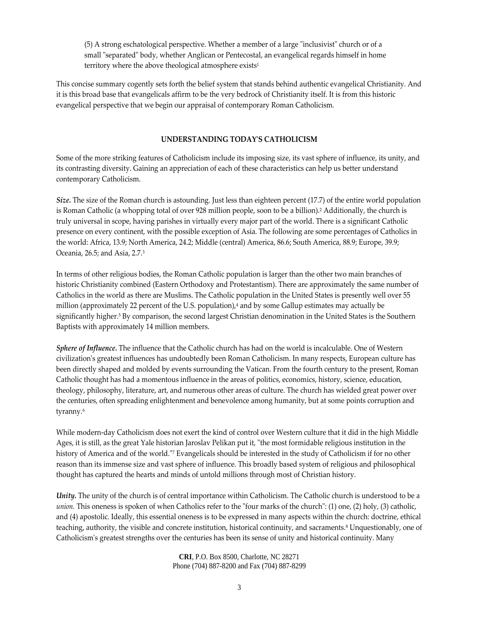(5) A strong eschatological perspective. Whether a member of a large "inclusivist" church or of a small "separated" body, whether Anglican or Pentecostal, an evangelical regards himself in home territory where the above theological atmosphere exists<sup>1</sup>

This concise summary cogently sets forth the belief system that stands behind authentic evangelical Christianity. And it is this broad base that evangelicals affirm to be the very bedrock of Christianity itself. It is from this historic evangelical perspective that we begin our appraisal of contemporary Roman Catholicism.

## **UNDERSTANDING TODAYʹS CATHOLICISM**

Some of the more striking features of Catholicism include its imposing size, its vast sphere of influence, its unity, and its contrasting diversity. Gaining an appreciation of each of these characteristics can help us better understand contemporary Catholicism.

*Size.* The size of the Roman church is astounding. Just less than eighteen percent (17.7) of the entire world population is Roman Catholic (a whopping total of over 928 million people, soon to be a billion).2 Additionally, the church is truly universal in scope, having parishes in virtually every major part of the world. There is a significant Catholic presence on every continent, with the possible exception of Asia. The following are some percentages of Catholics in the world: Africa, 13.9; North America, 24.2; Middle (central) America, 86.6; South America, 88.9; Europe, 39.9; Oceania, 26.5; and Asia, 2.7.3

In terms of other religious bodies, the Roman Catholic population is larger than the other two main branches of historic Christianity combined (Eastern Orthodoxy and Protestantism). There are approximately the same number of Catholics in the world as there are Muslims. The Catholic population in the United States is presently well over 55 million (approximately 22 percent of the U.S. population),<sup>4</sup> and by some Gallup estimates may actually be significantly higher.<sup>5</sup> By comparison, the second largest Christian denomination in the United States is the Southern Baptists with approximately 14 million members.

*Sphere of Influence.* The influence that the Catholic church has had on the world is incalculable. One of Western civilization's greatest influences has undoubtedly been Roman Catholicism. In many respects, European culture has been directly shaped and molded by events surrounding the Vatican. From the fourth century to the present, Roman Catholic thought has had a momentous influence in the areas of politics, economics, history, science, education, theology, philosophy, literature, art, and numerous other areas of culture. The church has wielded great power over the centuries, often spreading enlightenment and benevolence among humanity, but at some points corruption and tyranny.6

While modern‐day Catholicism does not exert the kind of control over Western culture that it did in the high Middle Ages, it is still, as the great Yale historian Jaroslav Pelikan put it, "the most formidable religious institution in the history of America and of the world.<sup>™</sup> Evangelicals should be interested in the study of Catholicism if for no other reason than its immense size and vast sphere of influence. This broadly based system of religious and philosophical thought has captured the hearts and minds of untold millions through most of Christian history.

*Unity.* The unity of the church is of central importance within Catholicism. The Catholic church is understood to be a *union*. This oneness is spoken of when Catholics refer to the "four marks of the church": (1) one, (2) holy, (3) catholic, and (4) apostolic. Ideally, this essential oneness is to be expressed in many aspects within the church: doctrine, ethical teaching, authority, the visible and concrete institution, historical continuity, and sacraments.<sup>8</sup> Unquestionably, one of Catholicismʹs greatest strengths over the centuries has been its sense of unity and historical continuity. Many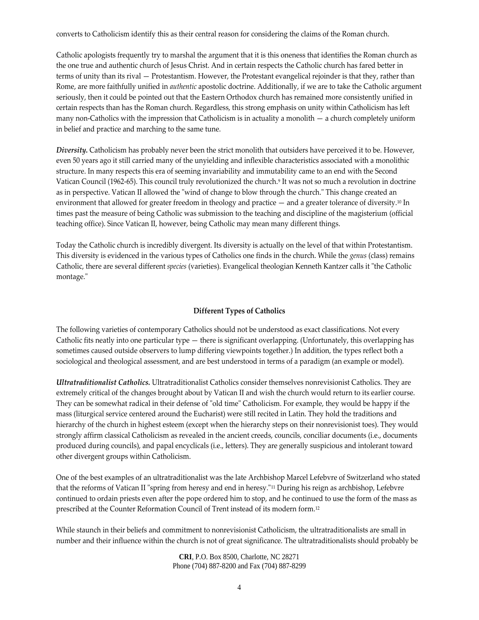converts to Catholicism identify this as their central reason for considering the claims of the Roman church.

Catholic apologists frequently try to marshal the argument that it is this oneness that identifies the Roman church as the one true and authentic church of Jesus Christ. And in certain respects the Catholic church has fared better in terms of unity than its rival — Protestantism. However, the Protestant evangelical rejoinder is that they, rather than Rome, are more faithfully unified in *authentic* apostolic doctrine. Additionally, if we are to take the Catholic argument seriously, then it could be pointed out that the Eastern Orthodox church has remained more consistently unified in certain respects than has the Roman church. Regardless, this strong emphasis on unity within Catholicism has left many non-Catholics with the impression that Catholicism is in actuality a monolith  $-$  a church completely uniform in belief and practice and marching to the same tune.

*Diversity.* Catholicism has probably never been the strict monolith that outsiders have perceived it to be. However, even 50 years ago it still carried many of the unyielding and inflexible characteristics associated with a monolithic structure. In many respects this era of seeming invariability and immutability came to an end with the Second Vatican Council (1962‐65). This council truly revolutionized the church.9 It was not so much a revolution in doctrine as in perspective. Vatican II allowed the "wind of change to blow through the church." This change created an environment that allowed for greater freedom in theology and practice — and a greater tolerance of diversity.10 In times past the measure of being Catholic was submission to the teaching and discipline of the magisterium (official teaching office). Since Vatican II, however, being Catholic may mean many different things.

Today the Catholic church is incredibly divergent. Its diversity is actually on the level of that within Protestantism. This diversity is evidenced in the various types of Catholics one finds in the church. While the *genus* (class) remains Catholic, there are several different *species* (varieties). Evangelical theologian Kenneth Kantzer calls it "the Catholic montage."

## **Different Types of Catholics**

The following varieties of contemporary Catholics should not be understood as exact classifications. Not every Catholic fits neatly into one particular type — there is significant overlapping. (Unfortunately, this overlapping has sometimes caused outside observers to lump differing viewpoints together.) In addition, the types reflect both a sociological and theological assessment, and are best understood in terms of a paradigm (an example or model).

*Ultratraditionalist Catholics.* Ultratraditionalist Catholics consider themselves nonrevisionist Catholics. They are extremely critical of the changes brought about by Vatican II and wish the church would return to its earlier course. They can be somewhat radical in their defense of "old time" Catholicism. For example, they would be happy if the mass (liturgical service centered around the Eucharist) were still recited in Latin. They hold the traditions and hierarchy of the church in highest esteem (except when the hierarchy steps on their nonrevisionist toes). They would strongly affirm classical Catholicism as revealed in the ancient creeds, councils, conciliar documents (i.e., documents produced during councils), and papal encyclicals (i.e., letters). They are generally suspicious and intolerant toward other divergent groups within Catholicism.

One of the best examples of an ultratraditionalist was the late Archbishop Marcel Lefebvre of Switzerland who stated that the reforms of Vatican II "spring from heresy and end in heresy."<sup>11</sup> During his reign as archbishop, Lefebvre continued to ordain priests even after the pope ordered him to stop, and he continued to use the form of the mass as prescribed at the Counter Reformation Council of Trent instead of its modern form.12

While staunch in their beliefs and commitment to nonrevisionist Catholicism, the ultratraditionalists are small in number and their influence within the church is not of great significance. The ultratraditionalists should probably be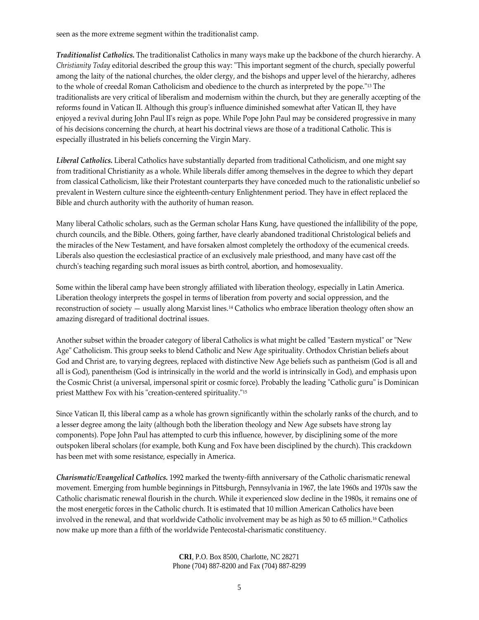seen as the more extreme segment within the traditionalist camp.

*Traditionalist Catholics.* The traditionalist Catholics in many ways make up the backbone of the church hierarchy. A *Christianity Today* editorial described the group this way: "This important segment of the church, specially powerful among the laity of the national churches, the older clergy, and the bishops and upper level of the hierarchy, adheres to the whole of creedal Roman Catholicism and obedience to the church as interpreted by the pope.<sup>"13</sup> The traditionalists are very critical of liberalism and modernism within the church, but they are generally accepting of the reforms found in Vatican II. Although this groupʹs influence diminished somewhat after Vatican II, they have enjoyed a revival during John Paul IIʹs reign as pope. While Pope John Paul may be considered progressive in many of his decisions concerning the church, at heart his doctrinal views are those of a traditional Catholic. This is especially illustrated in his beliefs concerning the Virgin Mary.

*Liberal Catholics.* Liberal Catholics have substantially departed from traditional Catholicism, and one might say from traditional Christianity as a whole. While liberals differ among themselves in the degree to which they depart from classical Catholicism, like their Protestant counterparts they have conceded much to the rationalistic unbelief so prevalent in Western culture since the eighteenth‐century Enlightenment period. They have in effect replaced the Bible and church authority with the authority of human reason.

Many liberal Catholic scholars, such as the German scholar Hans Kung, have questioned the infallibility of the pope, church councils, and the Bible. Others, going farther, have clearly abandoned traditional Christological beliefs and the miracles of the New Testament, and have forsaken almost completely the orthodoxy of the ecumenical creeds. Liberals also question the ecclesiastical practice of an exclusively male priesthood, and many have cast off the churchʹs teaching regarding such moral issues as birth control, abortion, and homosexuality.

Some within the liberal camp have been strongly affiliated with liberation theology, especially in Latin America. Liberation theology interprets the gospel in terms of liberation from poverty and social oppression, and the reconstruction of society — usually along Marxist lines.14 Catholics who embrace liberation theology often show an amazing disregard of traditional doctrinal issues.

Another subset within the broader category of liberal Catholics is what might be called "Eastern mystical" or "New Age" Catholicism. This group seeks to blend Catholic and New Age spirituality. Orthodox Christian beliefs about God and Christ are, to varying degrees, replaced with distinctive New Age beliefs such as pantheism (God is all and all is God), panentheism (God is intrinsically in the world and the world is intrinsically in God), and emphasis upon the Cosmic Christ (a universal, impersonal spirit or cosmic force). Probably the leading "Catholic guru" is Dominican priest Matthew Fox with his "creation-centered spirituality."<sup>15</sup>

Since Vatican II, this liberal camp as a whole has grown significantly within the scholarly ranks of the church, and to a lesser degree among the laity (although both the liberation theology and New Age subsets have strong lay components). Pope John Paul has attempted to curb this influence, however, by disciplining some of the more outspoken liberal scholars (for example, both Kung and Fox have been disciplined by the church). This crackdown has been met with some resistance, especially in America.

*Charismatic/Evangelical Catholics.* 1992 marked the twenty‐fifth anniversary of the Catholic charismatic renewal movement. Emerging from humble beginnings in Pittsburgh, Pennsylvania in 1967, the late 1960s and 1970s saw the Catholic charismatic renewal flourish in the church. While it experienced slow decline in the 1980s, it remains one of the most energetic forces in the Catholic church. It is estimated that 10 million American Catholics have been involved in the renewal, and that worldwide Catholic involvement may be as high as 50 to 65 million.16 Catholics now make up more than a fifth of the worldwide Pentecostal‐charismatic constituency.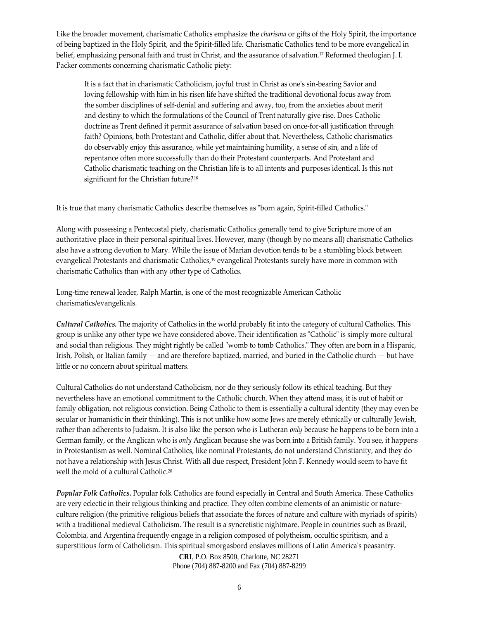Like the broader movement, charismatic Catholics emphasize the *charisma* or gifts of the Holy Spirit, the importance of being baptized in the Holy Spirit, and the Spirit‐filled life. Charismatic Catholics tend to be more evangelical in belief, emphasizing personal faith and trust in Christ, and the assurance of salvation.<sup>17</sup> Reformed theologian J. I. Packer comments concerning charismatic Catholic piety:

It is a fact that in charismatic Catholicism, joyful trust in Christ as one's sin-bearing Savior and loving fellowship with him in his risen life have shifted the traditional devotional focus away from the somber disciplines of self‐denial and suffering and away, too, from the anxieties about merit and destiny to which the formulations of the Council of Trent naturally give rise. Does Catholic doctrine as Trent defined it permit assurance of salvation based on once‐for‐all justification through faith? Opinions, both Protestant and Catholic, differ about that. Nevertheless, Catholic charismatics do observably enjoy this assurance, while yet maintaining humility, a sense of sin, and a life of repentance often more successfully than do their Protestant counterparts. And Protestant and Catholic charismatic teaching on the Christian life is to all intents and purposes identical. Is this not significant for the Christian future?18

It is true that many charismatic Catholics describe themselves as "born again, Spirit-filled Catholics."

Along with possessing a Pentecostal piety, charismatic Catholics generally tend to give Scripture more of an authoritative place in their personal spiritual lives. However, many (though by no means all) charismatic Catholics also have a strong devotion to Mary. While the issue of Marian devotion tends to be a stumbling block between evangelical Protestants and charismatic Catholics,<sup>19</sup> evangelical Protestants surely have more in common with charismatic Catholics than with any other type of Catholics.

Long-time renewal leader, Ralph Martin, is one of the most recognizable American Catholic charismatics/evangelicals.

*Cultural Catholics.* The majority of Catholics in the world probably fit into the category of cultural Catholics. This group is unlike any other type we have considered above. Their identification as "Catholic" is simply more cultural and social than religious. They might rightly be called "womb to tomb Catholics." They often are born in a Hispanic, Irish, Polish, or Italian family — and are therefore baptized, married, and buried in the Catholic church — but have little or no concern about spiritual matters.

Cultural Catholics do not understand Catholicism, nor do they seriously follow its ethical teaching. But they nevertheless have an emotional commitment to the Catholic church. When they attend mass, it is out of habit or family obligation, not religious conviction. Being Catholic to them is essentially a cultural identity (they may even be secular or humanistic in their thinking). This is not unlike how some Jews are merely ethnically or culturally Jewish, rather than adherents to Judaism. It is also like the person who is Lutheran *only* because he happens to be born into a German family, or the Anglican who is *only* Anglican because she was born into a British family. You see, it happens in Protestantism as well. Nominal Catholics, like nominal Protestants, do not understand Christianity, and they do not have a relationship with Jesus Christ. With all due respect, President John F. Kennedy would seem to have fit well the mold of a cultural Catholic.20

*Popular Folk Catholics.* Popular folk Catholics are found especially in Central and South America. These Catholics are very eclectic in their religious thinking and practice. They often combine elements of an animistic or natureculture religion (the primitive religious beliefs that associate the forces of nature and culture with myriads of spirits) with a traditional medieval Catholicism. The result is a syncretistic nightmare. People in countries such as Brazil, Colombia, and Argentina frequently engage in a religion composed of polytheism, occultic spiritism, and a superstitious form of Catholicism. This spiritual smorgasbord enslaves millions of Latin America's peasantry.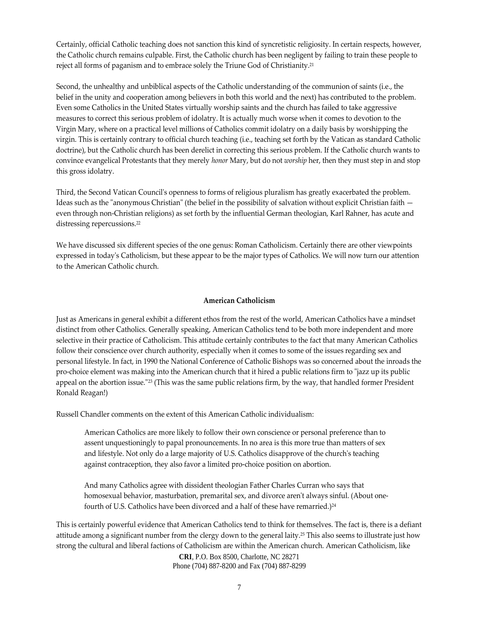Certainly, official Catholic teaching does not sanction this kind of syncretistic religiosity. In certain respects, however, the Catholic church remains culpable. First, the Catholic church has been negligent by failing to train these people to reject all forms of paganism and to embrace solely the Triune God of Christianity.21

Second, the unhealthy and unbiblical aspects of the Catholic understanding of the communion of saints (i.e., the belief in the unity and cooperation among believers in both this world and the next) has contributed to the problem. Even some Catholics in the United States virtually worship saints and the church has failed to take aggressive measures to correct this serious problem of idolatry. It is actually much worse when it comes to devotion to the Virgin Mary, where on a practical level millions of Catholics commit idolatry on a daily basis by worshipping the virgin. This is certainly contrary to official church teaching (i.e., teaching set forth by the Vatican as standard Catholic doctrine), but the Catholic church has been derelict in correcting this serious problem. If the Catholic church wants to convince evangelical Protestants that they merely *honor* Mary, but do not *worship* her, then they must step in and stop this gross idolatry.

Third, the Second Vatican Councilʹs openness to forms of religious pluralism has greatly exacerbated the problem. Ideas such as the "anonymous Christian" (the belief in the possibility of salvation without explicit Christian faith even through non‐Christian religions) as set forth by the influential German theologian, Karl Rahner, has acute and distressing repercussions.22

We have discussed six different species of the one genus: Roman Catholicism. Certainly there are other viewpoints expressed in todayʹs Catholicism, but these appear to be the major types of Catholics. We will now turn our attention to the American Catholic church.

#### **American Catholicism**

Just as Americans in general exhibit a different ethos from the rest of the world, American Catholics have a mindset distinct from other Catholics. Generally speaking, American Catholics tend to be both more independent and more selective in their practice of Catholicism. This attitude certainly contributes to the fact that many American Catholics follow their conscience over church authority, especially when it comes to some of the issues regarding sex and personal lifestyle. In fact, in 1990 the National Conference of Catholic Bishops was so concerned about the inroads the pro-choice element was making into the American church that it hired a public relations firm to "jazz up its public appeal on the abortion issue."<sup>23</sup> (This was the same public relations firm, by the way, that handled former President Ronald Reagan!)

Russell Chandler comments on the extent of this American Catholic individualism:

American Catholics are more likely to follow their own conscience or personal preference than to assent unquestioningly to papal pronouncements. In no area is this more true than matters of sex and lifestyle. Not only do a large majority of U.S. Catholics disapprove of the churchʹs teaching against contraception, they also favor a limited pro‐choice position on abortion.

And many Catholics agree with dissident theologian Father Charles Curran who says that homosexual behavior, masturbation, premarital sex, and divorce aren't always sinful. (About onefourth of U.S. Catholics have been divorced and a half of these have remarried.)<sup>24</sup>

This is certainly powerful evidence that American Catholics tend to think for themselves. The fact is, there is a defiant attitude among a significant number from the clergy down to the general laity.25 This also seems to illustrate just how strong the cultural and liberal factions of Catholicism are within the American church. American Catholicism, like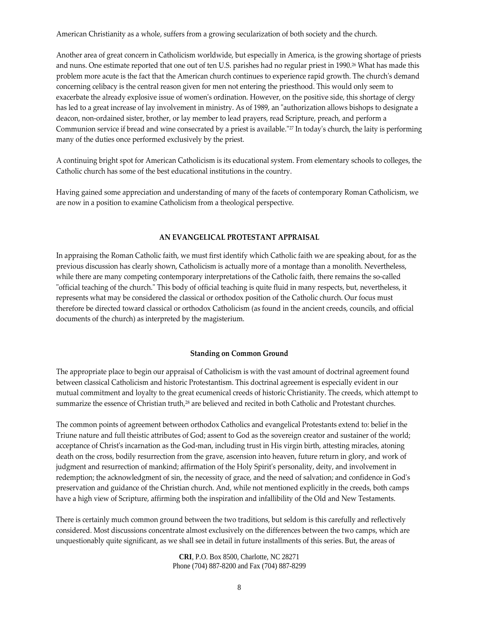American Christianity as a whole, suffers from a growing secularization of both society and the church.

Another area of great concern in Catholicism worldwide, but especially in America, is the growing shortage of priests and nuns. One estimate reported that one out of ten U.S. parishes had no regular priest in 1990.<sup>26</sup> What has made this problem more acute is the fact that the American church continues to experience rapid growth. The church's demand concerning celibacy is the central reason given for men not entering the priesthood. This would only seem to exacerbate the already explosive issue of womenʹs ordination. However, on the positive side, this shortage of clergy has led to a great increase of lay involvement in ministry. As of 1989, an "authorization allows bishops to designate a deacon, non‐ordained sister, brother, or lay member to lead prayers, read Scripture, preach, and perform a Communion service if bread and wine consecrated by a priest is available."<sup>27</sup> In today's church, the laity is performing many of the duties once performed exclusively by the priest.

A continuing bright spot for American Catholicism is its educational system. From elementary schools to colleges, the Catholic church has some of the best educational institutions in the country.

Having gained some appreciation and understanding of many of the facets of contemporary Roman Catholicism, we are now in a position to examine Catholicism from a theological perspective.

### **AN EVANGELICAL PROTESTANT APPRAISAL**

In appraising the Roman Catholic faith, we must first identify which Catholic faith we are speaking about, for as the previous discussion has clearly shown, Catholicism is actually more of a montage than a monolith. Nevertheless, while there are many competing contemporary interpretations of the Catholic faith, there remains the so-called "official teaching of the church." This body of official teaching is quite fluid in many respects, but, nevertheless, it represents what may be considered the classical or orthodox position of the Catholic church. Our focus must therefore be directed toward classical or orthodox Catholicism (as found in the ancient creeds, councils, and official documents of the church) as interpreted by the magisterium.

#### **Standing on Common Ground**

The appropriate place to begin our appraisal of Catholicism is with the vast amount of doctrinal agreement found between classical Catholicism and historic Protestantism. This doctrinal agreement is especially evident in our mutual commitment and loyalty to the great ecumenical creeds of historic Christianity. The creeds, which attempt to summarize the essence of Christian truth,<sup>28</sup> are believed and recited in both Catholic and Protestant churches.

The common points of agreement between orthodox Catholics and evangelical Protestants extend to: belief in the Triune nature and full theistic attributes of God; assent to God as the sovereign creator and sustainer of the world; acceptance of Christ's incarnation as the God-man, including trust in His virgin birth, attesting miracles, atoning death on the cross, bodily resurrection from the grave, ascension into heaven, future return in glory, and work of judgment and resurrection of mankind; affirmation of the Holy Spirit's personality, deity, and involvement in redemption; the acknowledgment of sin, the necessity of grace, and the need of salvation; and confidence in Godʹs preservation and guidance of the Christian church. And, while not mentioned explicitly in the creeds, both camps have a high view of Scripture, affirming both the inspiration and infallibility of the Old and New Testaments.

There is certainly much common ground between the two traditions, but seldom is this carefully and reflectively considered. Most discussions concentrate almost exclusively on the differences between the two camps, which are unquestionably quite significant, as we shall see in detail in future installments of this series. But, the areas of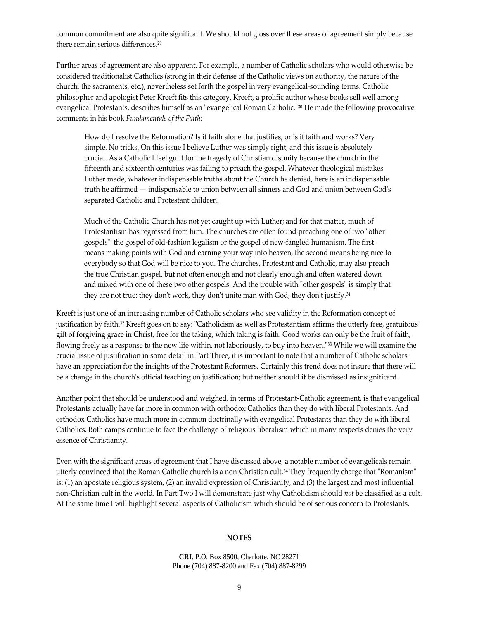common commitment are also quite significant. We should not gloss over these areas of agreement simply because there remain serious differences.29

Further areas of agreement are also apparent. For example, a number of Catholic scholars who would otherwise be considered traditionalist Catholics (strong in their defense of the Catholic views on authority, the nature of the church, the sacraments, etc.), nevertheless set forth the gospel in very evangelical‐sounding terms. Catholic philosopher and apologist Peter Kreeft fits this category. Kreeft, a prolific author whose books sell well among evangelical Protestants, describes himself as an "evangelical Roman Catholic."<sup>30</sup> He made the following provocative comments in his book *Fundamentals of the Faith:*

How do I resolve the Reformation? Is it faith alone that justifies, or is it faith and works? Very simple. No tricks. On this issue I believe Luther was simply right; and this issue is absolutely crucial. As a Catholic I feel guilt for the tragedy of Christian disunity because the church in the fifteenth and sixteenth centuries was failing to preach the gospel. Whatever theological mistakes Luther made, whatever indispensable truths about the Church he denied, here is an indispensable truth he affirmed — indispensable to union between all sinners and God and union between Godʹs separated Catholic and Protestant children.

Much of the Catholic Church has not yet caught up with Luther; and for that matter, much of Protestantism has regressed from him. The churches are often found preaching one of two "other gospelsʺ: the gospel of old‐fashion legalism or the gospel of new‐fangled humanism. The first means making points with God and earning your way into heaven, the second means being nice to everybody so that God will be nice to you. The churches, Protestant and Catholic, may also preach the true Christian gospel, but not often enough and not clearly enough and often watered down and mixed with one of these two other gospels. And the trouble with "other gospels" is simply that they are not true: they don't work, they don't unite man with God, they don't justify.<sup>31</sup>

Kreeft is just one of an increasing number of Catholic scholars who see validity in the Reformation concept of justification by faith.<sup>32</sup> Kreeft goes on to say: "Catholicism as well as Protestantism affirms the utterly free, gratuitous gift of forgiving grace in Christ, free for the taking, which taking is faith. Good works can only be the fruit of faith, flowing freely as a response to the new life within, not laboriously, to buy into heaven.<sup>"33</sup> While we will examine the crucial issue of justification in some detail in Part Three, it is important to note that a number of Catholic scholars have an appreciation for the insights of the Protestant Reformers. Certainly this trend does not insure that there will be a change in the churchʹs official teaching on justification; but neither should it be dismissed as insignificant.

Another point that should be understood and weighed, in terms of Protestant‐Catholic agreement, is that evangelical Protestants actually have far more in common with orthodox Catholics than they do with liberal Protestants. And orthodox Catholics have much more in common doctrinally with evangelical Protestants than they do with liberal Catholics. Both camps continue to face the challenge of religious liberalism which in many respects denies the very essence of Christianity.

Even with the significant areas of agreement that I have discussed above, a notable number of evangelicals remain utterly convinced that the Roman Catholic church is a non-Christian cult.<sup>34</sup> They frequently charge that "Romanism" is: (1) an apostate religious system, (2) an invalid expression of Christianity, and (3) the largest and most influential non‐Christian cult in the world. In Part Two I will demonstrate just why Catholicism should *not* be classified as a cult. At the same time I will highlight several aspects of Catholicism which should be of serious concern to Protestants.

#### **NOTES**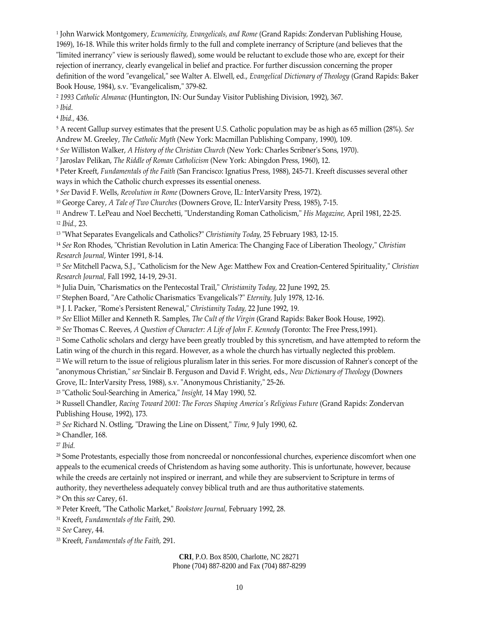<sup>1</sup> John Warwick Montgomery, *Ecumenicity, Evangelicals, and Rome* (Grand Rapids: Zondervan Publishing House, 1969), 16‐18. While this writer holds firmly to the full and complete inerrancy of Scripture (and believes that the "limited inerrancy" view is seriously flawed), some would be reluctant to exclude those who are, except for their rejection of inerrancy, clearly evangelical in belief and practice. For further discussion concerning the proper definition of the word "evangelical," see Walter A. Elwell, ed., *Evangelical Dictionary of Theology* (Grand Rapids: Baker Book House, 1984), s.v. "Evangelicalism," 379-82.

<sup>2</sup> *1993 Catholic Almanac* (Huntington, IN: Our Sunday Visitor Publishing Division, 1992), 367.

<sup>3</sup> *Ibid.*

<sup>4</sup> *Ibid.,* 436.

<sup>5</sup> A recent Gallup survey estimates that the present U.S. Catholic population may be as high as 65 million (28%). *See* Andrew M. Greeley, *The Catholic Myth* (New York: Macmillan Publishing Company, 1990), 109.

<sup>6</sup> *See* Williston Walker, *A History of the Christian Church* (New York: Charles Scribnerʹs Sons, 1970).

<sup>7</sup> Jaroslav Pelikan, *The Riddle of Roman Catholicism* (New York: Abingdon Press, 1960), 12.

<sup>8</sup> Peter Kreeft, *Fundamentals of the Faith* (San Francisco: Ignatius Press, 1988), 245‐71. Kreeft discusses several other ways in which the Catholic church expresses its essential oneness.

<sup>9</sup> *See* David F. Wells, *Revolution in Rome* (Downers Grove, IL: InterVarsity Press, 1972).

<sup>10</sup> George Carey, *A Tale of Two Churches* (Downers Grove, IL: InterVarsity Press, 1985), 7‐15.

<sup>11</sup> Andrew T. LePeau and Noel Becchetti, "Understanding Roman Catholicism," *His Magazine*, April 1981, 22-25. <sup>12</sup> *Ibid.,* 23.

13 "What Separates Evangelicals and Catholics?" *Christianity Today*, 25 February 1983, 12-15.

<sup>14</sup> See Ron Rhodes, "Christian Revolution in Latin America: The Changing Face of Liberation Theology," Christian *Research Journal,* Winter 1991, 8‐14.

<sup>15</sup> See Mitchell Pacwa, S.J., "Catholicism for the New Age: Matthew Fox and Creation-Centered Spirituality," Christian *Research Journal,* Fall 1992, 14‐19, 29‐31.

<sup>16</sup> Julia Duin, "Charismatics on the Pentecostal Trail," *Christianity Today*, 22 June 1992, 25.

17 Stephen Board, "Are Catholic Charismatics 'Evangelicals'?" *Eternity*, July 1978, 12-16.

<sup>18</sup> J. I. Packer, "Rome's Persistent Renewal," *Christianity Today*, 22 June 1992, 19.

<sup>19</sup> *See* Elliot Miller and Kenneth R. Samples, *The Cult of the Virgin* (Grand Rapids: Baker Book House, 1992).

<sup>20</sup> *See* Thomas C. Reeves, *A Question of Character: A Life of John F. Kennedy* (Toronto: The Free Press,1991).

<sup>21</sup> Some Catholic scholars and clergy have been greatly troubled by this syncretism, and have attempted to reform the Latin wing of the church in this regard. However, as a whole the church has virtually neglected this problem.

<sup>22</sup> We will return to the issue of religious pluralism later in this series. For more discussion of Rahner's concept of the ʺanonymous Christian,ʺ *see* Sinclair B. Ferguson and David F. Wright, eds., *New Dictionary of Theology* (Downers

Grove, IL: InterVarsity Press, 1988), s.v. "Anonymous Christianity," 25-26.

<sup>23</sup> "Catholic Soul-Searching in America," *Insight*, 14 May 1990, 52.

<sup>24</sup> Russell Chandler, *Racing Toward 2001: The Forces Shaping Americaʹs Religious Future* (Grand Rapids: Zondervan Publishing House, 1992), 173.

<sup>25</sup> See Richard N. Ostling, "Drawing the Line on Dissent," Time, 9 July 1990, 62.

<sup>26</sup> Chandler, 168.

<sup>27</sup> *Ibid.*

<sup>28</sup> Some Protestants, especially those from noncreedal or nonconfessional churches, experience discomfort when one appeals to the ecumenical creeds of Christendom as having some authority. This is unfortunate, however, because while the creeds are certainly not inspired or inerrant, and while they are subservient to Scripture in terms of authority, they nevertheless adequately convey biblical truth and are thus authoritative statements.

<sup>29</sup> On this *see* Carey, 61.

<sup>30</sup> Peter Kreeft, "The Catholic Market," Bookstore *Journal*, February 1992, 28.

<sup>31</sup> Kreeft, *Fundamentals of the Faith,* 290.

<sup>32</sup> *See* Carey, 44.

<sup>33</sup> Kreeft, *Fundamentals of the Faith,* 291.